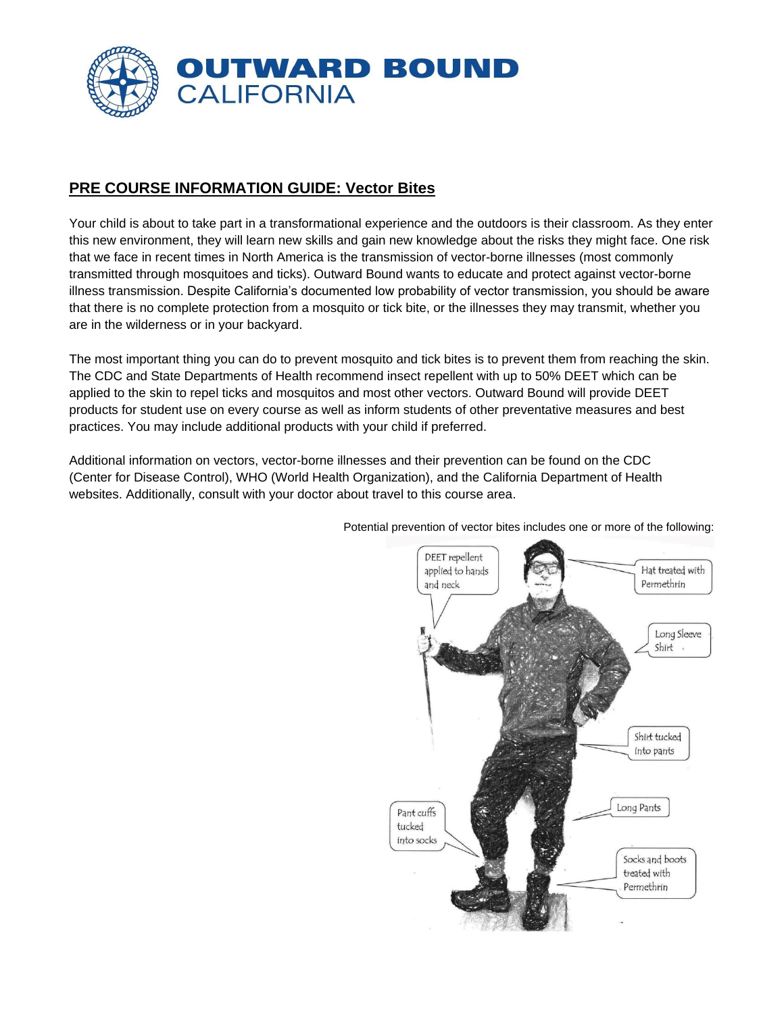

## **PRE COURSE INFORMATION GUIDE: Vector Bites**

Your child is about to take part in a transformational experience and the outdoors is their classroom. As they enter this new environment, they will learn new skills and gain new knowledge about the risks they might face. One risk that we face in recent times in North America is the transmission of vector-borne illnesses (most commonly transmitted through mosquitoes and ticks). Outward Bound wants to educate and protect against vector-borne illness transmission. Despite California's documented low probability of vector transmission, you should be aware that there is no complete protection from a mosquito or tick bite, or the illnesses they may transmit, whether you are in the wilderness or in your backyard.

The most important thing you can do to prevent mosquito and tick bites is to prevent them from reaching the skin. The CDC and State Departments of Health recommend insect repellent with up to 50% DEET which can be applied to the skin to repel ticks and mosquitos and most other vectors. Outward Bound will provide DEET products for student use on every course as well as inform students of other preventative measures and best practices. You may include additional products with your child if preferred.

Additional information on vectors, vector-borne illnesses and their prevention can be found on the CDC (Center for Disease Control), WHO (World Health Organization), and the California Department of Health websites. Additionally, consult with your doctor about travel to this course area.



Potential prevention of vector bites includes one or more of the following: